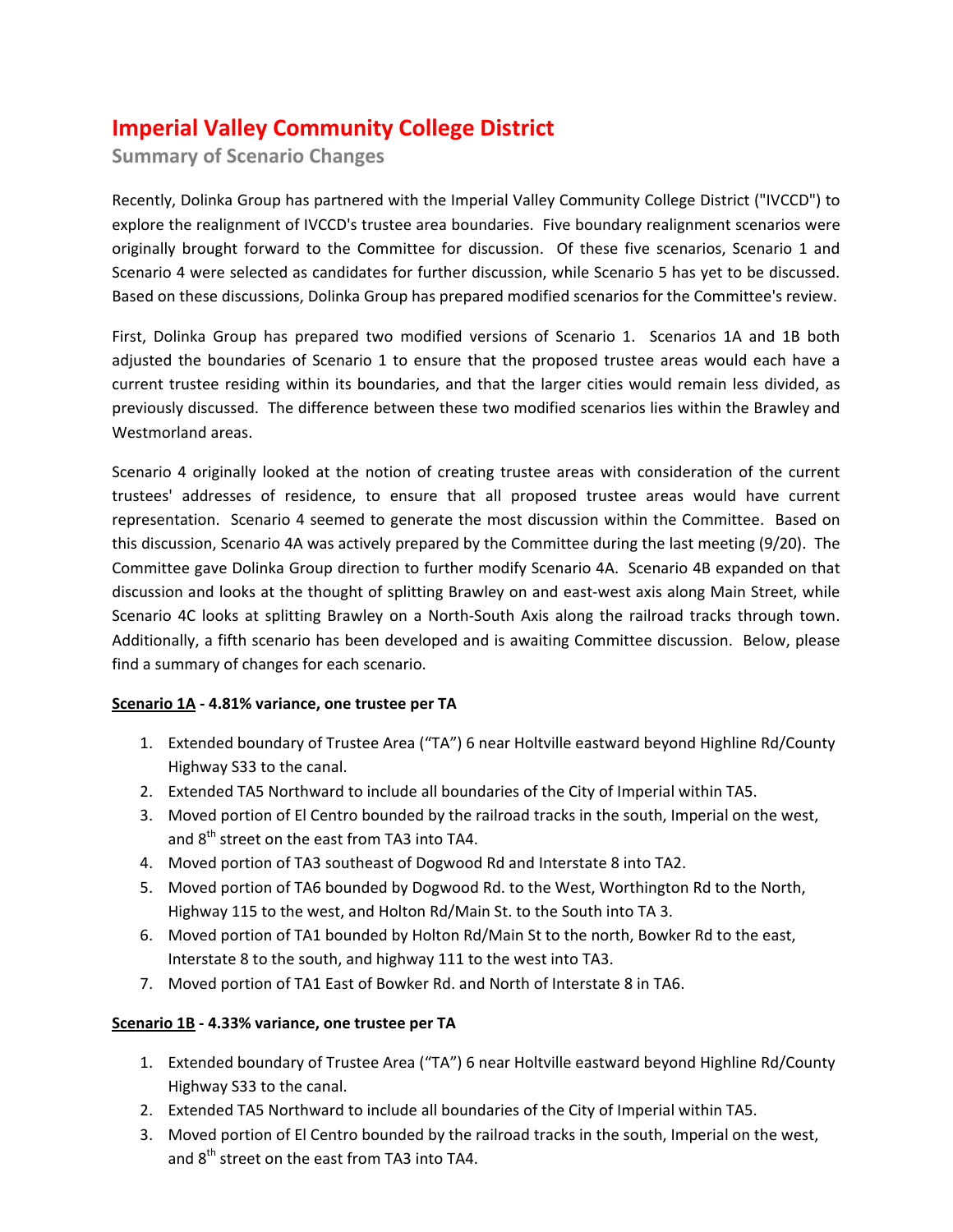# **Imperial Valley Community College District**

**Summary of Scenario Changes**

Recently, Dolinka Group has partnered with the Imperial Valley Community College District ("IVCCD") to explore the realignment of IVCCD's trustee area boundaries. Five boundary realignment scenarios were originally brought forward to the Committee for discussion. Of these five scenarios, Scenario 1 and Scenario 4 were selected as candidates for further discussion, while Scenario 5 has yet to be discussed. Based on these discussions, Dolinka Group has prepared modified scenarios for the Committee's review.

First, Dolinka Group has prepared two modified versions of Scenario 1. Scenarios 1A and 1B both adjusted the boundaries of Scenario 1 to ensure that the proposed trustee areas would each have a current trustee residing within its boundaries, and that the larger cities would remain less divided, as previously discussed. The difference between these two modified scenarios lies within the Brawley and Westmorland areas.

Scenario 4 originally looked at the notion of creating trustee areas with consideration of the current trustees' addresses of residence, to ensure that all proposed trustee areas would have current representation. Scenario 4 seemed to generate the most discussion within the Committee. Based on this discussion, Scenario 4A was actively prepared by the Committee during the last meeting (9/20). The Committee gave Dolinka Group direction to further modify Scenario 4A. Scenario 4B expanded on that discussion and looks at the thought of splitting Brawley on and east‐west axis along Main Street, while Scenario 4C looks at splitting Brawley on a North‐South Axis along the railroad tracks through town. Additionally, a fifth scenario has been developed and is awaiting Committee discussion. Below, please find a summary of changes for each scenario.

## **Scenario 1A ‐ 4.81% variance, one trustee per TA**

- 1. Extended boundary of Trustee Area ("TA") 6 near Holtville eastward beyond Highline Rd/County Highway S33 to the canal.
- 2. Extended TA5 Northward to include all boundaries of the City of Imperial within TA5.
- 3. Moved portion of El Centro bounded by the railroad tracks in the south, Imperial on the west, and 8<sup>th</sup> street on the east from TA3 into TA4.
- 4. Moved portion of TA3 southeast of Dogwood Rd and Interstate 8 into TA2.
- 5. Moved portion of TA6 bounded by Dogwood Rd. to the West, Worthington Rd to the North, Highway 115 to the west, and Holton Rd/Main St. to the South into TA 3.
- 6. Moved portion of TA1 bounded by Holton Rd/Main St to the north, Bowker Rd to the east, Interstate 8 to the south, and highway 111 to the west into TA3.
- 7. Moved portion of TA1 East of Bowker Rd. and North of Interstate 8 in TA6.

## **Scenario 1B ‐ 4.33% variance, one trustee per TA**

- 1. Extended boundary of Trustee Area ("TA") 6 near Holtville eastward beyond Highline Rd/County Highway S33 to the canal.
- 2. Extended TA5 Northward to include all boundaries of the City of Imperial within TA5.
- 3. Moved portion of El Centro bounded by the railroad tracks in the south, Imperial on the west, and  $8<sup>th</sup>$  street on the east from TA3 into TA4.